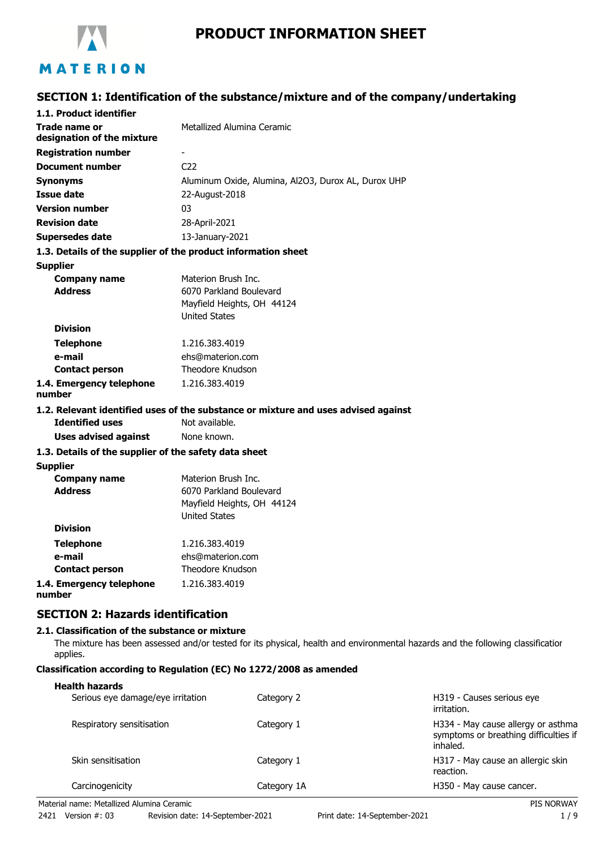

# **PRODUCT INFORMATION SHEET**

# **SECTION 1: Identification of the substance/mixture and of the company/undertaking**

| 1.1. Product identifier                               |                                                                                    |
|-------------------------------------------------------|------------------------------------------------------------------------------------|
| Trade name or<br>designation of the mixture           | Metallized Alumina Ceramic                                                         |
| <b>Registration number</b>                            |                                                                                    |
| <b>Document number</b>                                | C <sub>22</sub>                                                                    |
| <b>Synonyms</b>                                       | Aluminum Oxide, Alumina, Al2O3, Durox AL, Durox UHP                                |
| <b>Issue date</b>                                     | 22-August-2018                                                                     |
| <b>Version number</b>                                 | 03                                                                                 |
| <b>Revision date</b>                                  | 28-April-2021                                                                      |
| <b>Supersedes date</b>                                | 13-January-2021                                                                    |
|                                                       | 1.3. Details of the supplier of the product information sheet                      |
| <b>Supplier</b>                                       |                                                                                    |
| <b>Company name</b>                                   | Materion Brush Inc.                                                                |
| <b>Address</b>                                        | 6070 Parkland Boulevard                                                            |
|                                                       | Mayfield Heights, OH 44124                                                         |
|                                                       | <b>United States</b>                                                               |
| <b>Division</b>                                       |                                                                                    |
| <b>Telephone</b>                                      | 1.216.383.4019                                                                     |
| e-mail                                                | ehs@materion.com                                                                   |
| <b>Contact person</b>                                 | Theodore Knudson                                                                   |
| 1.4. Emergency telephone<br>number                    | 1.216.383.4019                                                                     |
|                                                       | 1.2. Relevant identified uses of the substance or mixture and uses advised against |
| <b>Identified uses</b>                                | Not available.                                                                     |
| <b>Uses advised against</b>                           | None known.                                                                        |
| 1.3. Details of the supplier of the safety data sheet |                                                                                    |
| <b>Supplier</b>                                       |                                                                                    |
| <b>Company name</b>                                   | Materion Brush Inc.                                                                |
| <b>Address</b>                                        | 6070 Parkland Boulevard                                                            |
|                                                       | Mayfield Heights, OH 44124                                                         |
| <b>Division</b>                                       | <b>United States</b>                                                               |
|                                                       |                                                                                    |
| <b>Telephone</b>                                      | 1.216.383.4019                                                                     |
| e-mail                                                | ehs@materion.com                                                                   |
| <b>Contact person</b>                                 | Theodore Knudson                                                                   |
| 1.4. Emergency telephone                              | 1.216.383.4019                                                                     |

**1.4. Emergency telephone number**

# **SECTION 2: Hazards identification**

#### **2.1. Classification of the substance or mixture**

The mixture has been assessed and/or tested for its physical, health and environmental hazards and the following classification applies.

### **Classification according to Regulation (EC) No 1272/2008 as amended**

#### **Health hazards**

| Serious eye damage/eye irritation | Category 2  | H319 - Causes serious eye<br>irritation.                                                |
|-----------------------------------|-------------|-----------------------------------------------------------------------------------------|
| Respiratory sensitisation         | Category 1  | H334 - May cause allergy or asthma<br>symptoms or breathing difficulties if<br>inhaled. |
| Skin sensitisation                | Category 1  | H317 - May cause an allergic skin<br>reaction.                                          |
| Carcinogenicity                   | Category 1A | H350 - May cause cancer.                                                                |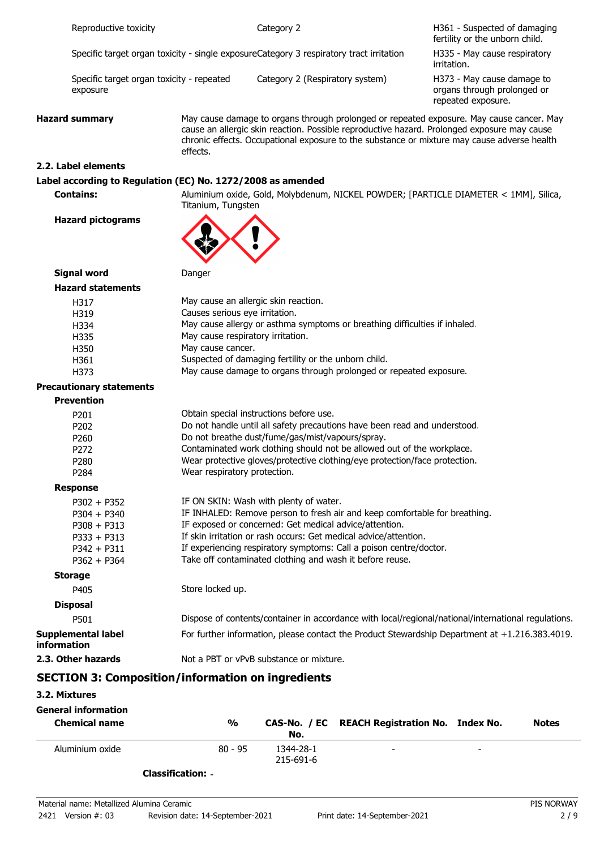|                                   | Reproductive toxicity                                                                              |                                                                                          | Category 2                                                                                                                                                                                                                                                                                                                                                                           | H361 - Suspected of damaging<br>fertility or the unborn child.                  |
|-----------------------------------|----------------------------------------------------------------------------------------------------|------------------------------------------------------------------------------------------|--------------------------------------------------------------------------------------------------------------------------------------------------------------------------------------------------------------------------------------------------------------------------------------------------------------------------------------------------------------------------------------|---------------------------------------------------------------------------------|
|                                   | Specific target organ toxicity - single exposureCategory 3 respiratory tract irritation            |                                                                                          |                                                                                                                                                                                                                                                                                                                                                                                      | H335 - May cause respiratory<br>irritation.                                     |
|                                   | Specific target organ toxicity - repeated<br>exposure                                              |                                                                                          | Category 2 (Respiratory system)                                                                                                                                                                                                                                                                                                                                                      | H373 - May cause damage to<br>organs through prolonged or<br>repeated exposure. |
| <b>Hazard summary</b><br>effects. |                                                                                                    |                                                                                          | May cause damage to organs through prolonged or repeated exposure. May cause cancer. May<br>cause an allergic skin reaction. Possible reproductive hazard. Prolonged exposure may cause<br>chronic effects. Occupational exposure to the substance or mixture may cause adverse health                                                                                               |                                                                                 |
|                                   | 2.2. Label elements                                                                                |                                                                                          |                                                                                                                                                                                                                                                                                                                                                                                      |                                                                                 |
|                                   | Label according to Regulation (EC) No. 1272/2008 as amended                                        |                                                                                          |                                                                                                                                                                                                                                                                                                                                                                                      |                                                                                 |
|                                   | <b>Contains:</b>                                                                                   | Titanium, Tungsten                                                                       | Aluminium oxide, Gold, Molybdenum, NICKEL POWDER; [PARTICLE DIAMETER < 1MM], Silica,                                                                                                                                                                                                                                                                                                 |                                                                                 |
|                                   | <b>Hazard pictograms</b>                                                                           |                                                                                          |                                                                                                                                                                                                                                                                                                                                                                                      |                                                                                 |
|                                   | <b>Signal word</b>                                                                                 | Danger                                                                                   |                                                                                                                                                                                                                                                                                                                                                                                      |                                                                                 |
|                                   | <b>Hazard statements</b>                                                                           |                                                                                          |                                                                                                                                                                                                                                                                                                                                                                                      |                                                                                 |
|                                   | H317<br>H319<br>H334<br>H335<br>H350<br>H361<br>H373<br><b>Precautionary statements</b>            | Causes serious eye irritation.<br>May cause respiratory irritation.<br>May cause cancer. | May cause an allergic skin reaction.<br>May cause allergy or asthma symptoms or breathing difficulties if inhaled.<br>Suspected of damaging fertility or the unborn child.<br>May cause damage to organs through prolonged or repeated exposure.                                                                                                                                     |                                                                                 |
|                                   | <b>Prevention</b>                                                                                  |                                                                                          |                                                                                                                                                                                                                                                                                                                                                                                      |                                                                                 |
|                                   | P201<br>P202<br>P260<br>P272<br>P280<br>P284                                                       | Wear respiratory protection.                                                             | Obtain special instructions before use.<br>Do not handle until all safety precautions have been read and understood.<br>Do not breathe dust/fume/gas/mist/vapours/spray.<br>Contaminated work clothing should not be allowed out of the workplace.<br>Wear protective gloves/protective clothing/eye protection/face protection.                                                     |                                                                                 |
|                                   | <b>Response</b>                                                                                    |                                                                                          |                                                                                                                                                                                                                                                                                                                                                                                      |                                                                                 |
|                                   | $P302 + P352$<br>$P304 + P340$<br>$P308 + P313$<br>$P333 + P313$<br>$P342 + P311$<br>$P362 + P364$ |                                                                                          | IF ON SKIN: Wash with plenty of water.<br>IF INHALED: Remove person to fresh air and keep comfortable for breathing.<br>IF exposed or concerned: Get medical advice/attention.<br>If skin irritation or rash occurs: Get medical advice/attention.<br>If experiencing respiratory symptoms: Call a poison centre/doctor.<br>Take off contaminated clothing and wash it before reuse. |                                                                                 |
|                                   | <b>Storage</b>                                                                                     |                                                                                          |                                                                                                                                                                                                                                                                                                                                                                                      |                                                                                 |
|                                   | P405                                                                                               | Store locked up.                                                                         |                                                                                                                                                                                                                                                                                                                                                                                      |                                                                                 |
|                                   | <b>Disposal</b>                                                                                    |                                                                                          |                                                                                                                                                                                                                                                                                                                                                                                      |                                                                                 |
|                                   | P501                                                                                               |                                                                                          | Dispose of contents/container in accordance with local/regional/national/international regulations.                                                                                                                                                                                                                                                                                  |                                                                                 |
| information                       | <b>Supplemental label</b>                                                                          |                                                                                          | For further information, please contact the Product Stewardship Department at +1.216.383.4019.                                                                                                                                                                                                                                                                                       |                                                                                 |
|                                   | 2.3. Other hazards                                                                                 |                                                                                          | Not a PBT or vPvB substance or mixture.                                                                                                                                                                                                                                                                                                                                              |                                                                                 |
|                                   | <b>SECTION 3: Composition/information on ingredients</b>                                           |                                                                                          |                                                                                                                                                                                                                                                                                                                                                                                      |                                                                                 |

# **3.2. Mixtures**

| <b>General information</b><br><b>Chemical name</b> | %         | No.                    | CAS-No. / EC REACH Registration No. Index No. |   | <b>Notes</b> |
|----------------------------------------------------|-----------|------------------------|-----------------------------------------------|---|--------------|
| Aluminium oxide                                    | $80 - 95$ | 1344-28-1<br>215-691-6 | -                                             | - |              |

**Classification:** -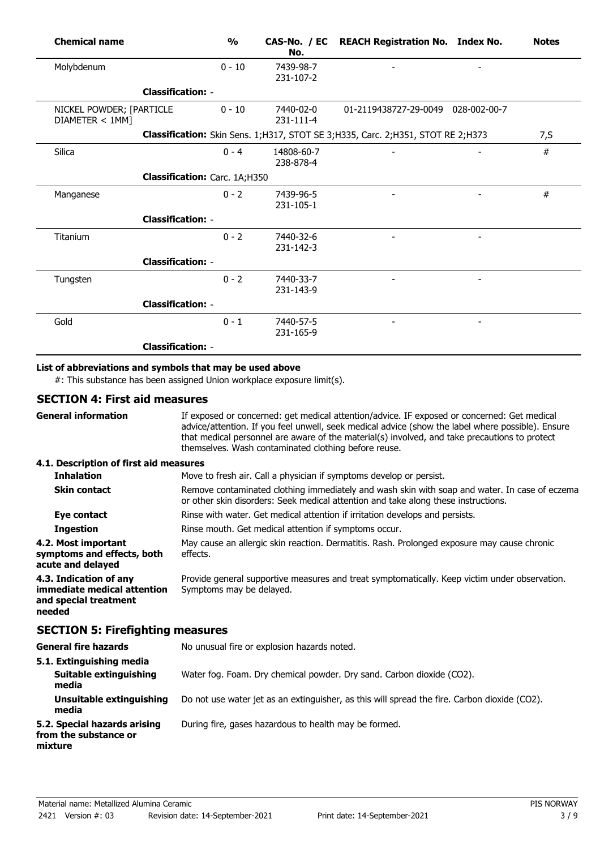| <b>Chemical name</b>                        |                               | $\frac{1}{2}$ | No.                     | CAS-No. / EC REACH Registration No. Index No.                                       | <b>Notes</b> |
|---------------------------------------------|-------------------------------|---------------|-------------------------|-------------------------------------------------------------------------------------|--------------|
| Molybdenum                                  |                               | $0 - 10$      | 7439-98-7<br>231-107-2  |                                                                                     |              |
|                                             | <b>Classification: -</b>      |               |                         |                                                                                     |              |
| NICKEL POWDER; [PARTICLE<br>DIAMETER < 1MM] |                               | $0 - 10$      | 7440-02-0<br>231-111-4  | 01-2119438727-29-0049 028-002-00-7                                                  |              |
|                                             |                               |               |                         | Classification: Skin Sens. 1; H317, STOT SE 3; H335, Carc. 2; H351, STOT RE 2; H373 | 7, S         |
| Silica                                      |                               | $0 - 4$       | 14808-60-7<br>238-878-4 |                                                                                     | #            |
|                                             | Classification: Carc. 1A;H350 |               |                         |                                                                                     |              |
| Manganese                                   |                               | $0 - 2$       | 7439-96-5<br>231-105-1  |                                                                                     | #            |
|                                             | <b>Classification: -</b>      |               |                         |                                                                                     |              |
| Titanium                                    |                               | $0 - 2$       | 7440-32-6<br>231-142-3  |                                                                                     |              |
|                                             | <b>Classification: -</b>      |               |                         |                                                                                     |              |
| Tungsten                                    |                               | $0 - 2$       | 7440-33-7<br>231-143-9  |                                                                                     |              |
|                                             | <b>Classification: -</b>      |               |                         |                                                                                     |              |
| Gold                                        |                               | $0 - 1$       | 7440-57-5<br>231-165-9  |                                                                                     |              |
|                                             | <b>Classification: -</b>      |               |                         |                                                                                     |              |

# **List of abbreviations and symbols that may be used above**

#: This substance has been assigned Union workplace exposure limit(s).

## **SECTION 4: First aid measures**

| <b>General information</b>                                                               | If exposed or concerned: get medical attention/advice. IF exposed or concerned: Get medical<br>advice/attention. If you feel unwell, seek medical advice (show the label where possible). Ensure<br>that medical personnel are aware of the material(s) involved, and take precautions to protect<br>themselves. Wash contaminated clothing before reuse. |
|------------------------------------------------------------------------------------------|-----------------------------------------------------------------------------------------------------------------------------------------------------------------------------------------------------------------------------------------------------------------------------------------------------------------------------------------------------------|
| 4.1. Description of first aid measures                                                   |                                                                                                                                                                                                                                                                                                                                                           |
| <b>Inhalation</b>                                                                        | Move to fresh air. Call a physician if symptoms develop or persist.                                                                                                                                                                                                                                                                                       |
| <b>Skin contact</b>                                                                      | Remove contaminated clothing immediately and wash skin with soap and water. In case of eczema<br>or other skin disorders: Seek medical attention and take along these instructions.                                                                                                                                                                       |
| Eye contact                                                                              | Rinse with water. Get medical attention if irritation develops and persists.                                                                                                                                                                                                                                                                              |
| <b>Ingestion</b>                                                                         | Rinse mouth. Get medical attention if symptoms occur.                                                                                                                                                                                                                                                                                                     |
| 4.2. Most important<br>symptoms and effects, both<br>acute and delayed                   | May cause an allergic skin reaction. Dermatitis. Rash. Prolonged exposure may cause chronic<br>effects.                                                                                                                                                                                                                                                   |
| 4.3. Indication of any<br>immediate medical attention<br>and special treatment<br>needed | Provide general supportive measures and treat symptomatically. Keep victim under observation.<br>Symptoms may be delayed.                                                                                                                                                                                                                                 |
| <b>SECTION 5: Firefighting measures</b>                                                  |                                                                                                                                                                                                                                                                                                                                                           |
| <b>General fire hazards</b>                                                              | No unusual fire or explosion hazards noted.                                                                                                                                                                                                                                                                                                               |
| 5.1. Extinguishing media<br>Suitable extinguishing<br>media                              | Water fog. Foam. Dry chemical powder. Dry sand. Carbon dioxide (CO2).                                                                                                                                                                                                                                                                                     |
| Unsuitable extinguishing<br>media                                                        | Do not use water jet as an extinguisher, as this will spread the fire. Carbon dioxide (CO2).                                                                                                                                                                                                                                                              |
| 5.2. Special hazards arising<br>from the substance or<br>mixture                         | During fire, gases hazardous to health may be formed.                                                                                                                                                                                                                                                                                                     |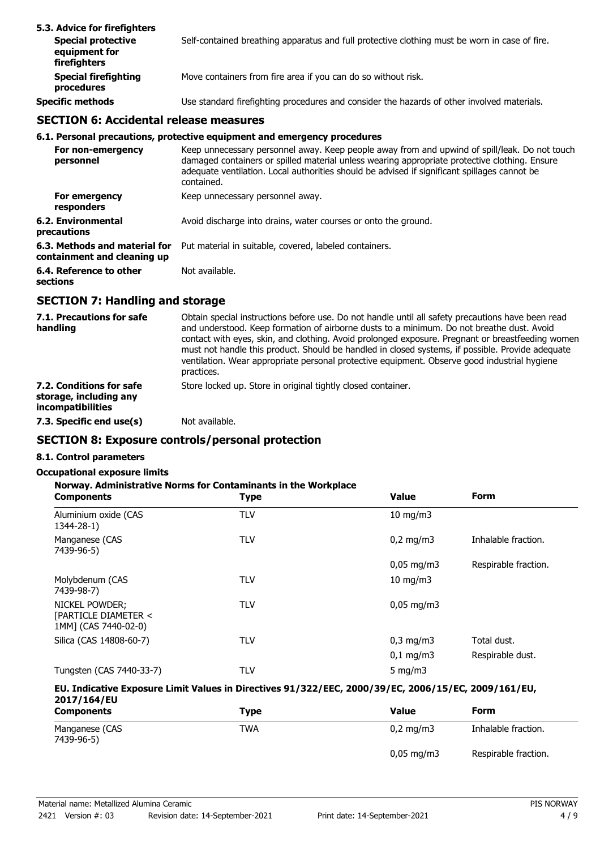| 5.3. Advice for firefighters<br><b>Special protective</b><br>equipment for<br>firefighters | Self-contained breathing apparatus and full protective clothing must be worn in case of fire. |
|--------------------------------------------------------------------------------------------|-----------------------------------------------------------------------------------------------|
| <b>Special firefighting</b><br>procedures                                                  | Move containers from fire area if you can do so without risk.                                 |
| <b>Specific methods</b>                                                                    | Use standard firefighting procedures and consider the hazards of other involved materials.    |

# **SECTION 6: Accidental release measures**

#### **6.1. Personal precautions, protective equipment and emergency procedures**

| For non-emergency<br>personnel                               | Keep unnecessary personnel away. Keep people away from and upwind of spill/leak. Do not touch<br>damaged containers or spilled material unless wearing appropriate protective clothing. Ensure<br>adequate ventilation. Local authorities should be advised if significant spillages cannot be<br>contained. |
|--------------------------------------------------------------|--------------------------------------------------------------------------------------------------------------------------------------------------------------------------------------------------------------------------------------------------------------------------------------------------------------|
| For emergency<br>responders                                  | Keep unnecessary personnel away.                                                                                                                                                                                                                                                                             |
| 6.2. Environmental<br>precautions                            | Avoid discharge into drains, water courses or onto the ground.                                                                                                                                                                                                                                               |
| 6.3. Methods and material for<br>containment and cleaning up | Put material in suitable, covered, labeled containers.                                                                                                                                                                                                                                                       |
| 6.4. Reference to other<br>sections                          | Not available.                                                                                                                                                                                                                                                                                               |

# **SECTION 7: Handling and storage**

| 7.1. Precautions for safe<br>handling                                          | Obtain special instructions before use. Do not handle until all safety precautions have been read<br>and understood. Keep formation of airborne dusts to a minimum. Do not breathe dust. Avoid<br>contact with eyes, skin, and clothing. Avoid prolonged exposure. Pregnant or breastfeeding women<br>must not handle this product. Should be handled in closed systems, if possible. Provide adequate<br>ventilation. Wear appropriate personal protective equipment. Observe good industrial hygiene<br>practices. |
|--------------------------------------------------------------------------------|----------------------------------------------------------------------------------------------------------------------------------------------------------------------------------------------------------------------------------------------------------------------------------------------------------------------------------------------------------------------------------------------------------------------------------------------------------------------------------------------------------------------|
| 7.2. Conditions for safe<br>storage, including any<br><i>incompatibilities</i> | Store locked up. Store in original tightly closed container.                                                                                                                                                                                                                                                                                                                                                                                                                                                         |
| 7.3. Specific end use(s)                                                       | Not available.                                                                                                                                                                                                                                                                                                                                                                                                                                                                                                       |

# **SECTION 8: Exposure controls/personal protection**

# **8.1. Control parameters**

## **Occupational exposure limits**

### **Norway. Administrative Norms for Contaminants in the Workplace**

| <b>Components</b>                                              | <b>Type</b> | <b>Value</b>           | <b>Form</b>          |
|----------------------------------------------------------------|-------------|------------------------|----------------------|
| Aluminium oxide (CAS<br>1344-28-1)                             | <b>TLV</b>  | $10 \text{ mg/m}$      |                      |
| Manganese (CAS<br>7439-96-5)                                   | <b>TLV</b>  | $0,2$ mg/m3            | Inhalable fraction.  |
|                                                                |             | $0,05$ mg/m3           | Respirable fraction. |
| Molybdenum (CAS<br>7439-98-7)                                  | <b>TLV</b>  | $10 \text{ mg/m}$      |                      |
| NICKEL POWDER;<br>[PARTICLE DIAMETER <<br>1MM] (CAS 7440-02-0) | <b>TLV</b>  | $0,05 \,\mathrm{mg/m}$ |                      |
| Silica (CAS 14808-60-7)                                        | <b>TLV</b>  | $0,3$ mg/m $3$         | Total dust.          |
|                                                                |             | $0,1$ mg/m3            | Respirable dust.     |
| Tungsten (CAS 7440-33-7)                                       | TLV         | 5 mg/m $3$             |                      |

#### **EU. Indicative Exposure Limit Values in Directives 91/322/EEC, 2000/39/EC, 2006/15/EC, 2009/161/EU, 2017/164/EU**

| <b>Components</b>            | Type       | Value                 | Form                 |
|------------------------------|------------|-----------------------|----------------------|
| Manganese (CAS<br>7439-96-5) | <b>TWA</b> | $0.2 \text{ mg/m}$ 3  | Inhalable fraction.  |
|                              |            | $0,05 \text{ mg/m}$ 3 | Respirable fraction. |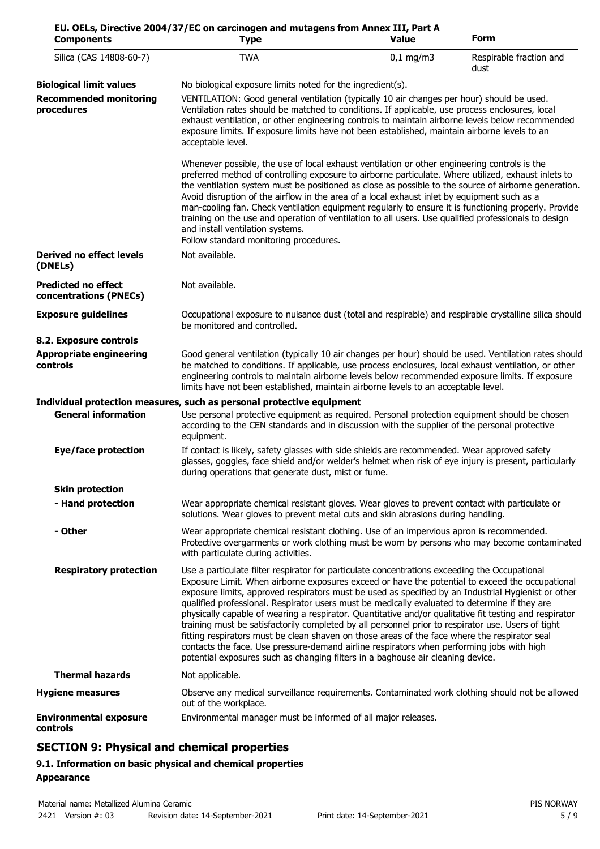| <b>Components</b>                                    | EU. OELs, Directive 2004/37/EC on carcinogen and mutagens from Annex III, Part A<br><b>Type</b>                                                                                                                                                                                                                                                                                                                                                                                                                                                                                                                                                                                                                                                                                                                                                                                                           | <b>Value</b> | <b>Form</b>                     |
|------------------------------------------------------|-----------------------------------------------------------------------------------------------------------------------------------------------------------------------------------------------------------------------------------------------------------------------------------------------------------------------------------------------------------------------------------------------------------------------------------------------------------------------------------------------------------------------------------------------------------------------------------------------------------------------------------------------------------------------------------------------------------------------------------------------------------------------------------------------------------------------------------------------------------------------------------------------------------|--------------|---------------------------------|
| Silica (CAS 14808-60-7)                              | <b>TWA</b>                                                                                                                                                                                                                                                                                                                                                                                                                                                                                                                                                                                                                                                                                                                                                                                                                                                                                                | $0,1$ mg/m3  | Respirable fraction and<br>dust |
| <b>Biological limit values</b>                       | No biological exposure limits noted for the ingredient(s).                                                                                                                                                                                                                                                                                                                                                                                                                                                                                                                                                                                                                                                                                                                                                                                                                                                |              |                                 |
| <b>Recommended monitoring</b><br>procedures          | VENTILATION: Good general ventilation (typically 10 air changes per hour) should be used.<br>Ventilation rates should be matched to conditions. If applicable, use process enclosures, local<br>exhaust ventilation, or other engineering controls to maintain airborne levels below recommended<br>exposure limits. If exposure limits have not been established, maintain airborne levels to an<br>acceptable level.                                                                                                                                                                                                                                                                                                                                                                                                                                                                                    |              |                                 |
|                                                      | Whenever possible, the use of local exhaust ventilation or other engineering controls is the<br>preferred method of controlling exposure to airborne particulate. Where utilized, exhaust inlets to<br>the ventilation system must be positioned as close as possible to the source of airborne generation.<br>Avoid disruption of the airflow in the area of a local exhaust inlet by equipment such as a<br>man-cooling fan. Check ventilation equipment regularly to ensure it is functioning properly. Provide<br>training on the use and operation of ventilation to all users. Use qualified professionals to design<br>and install ventilation systems.<br>Follow standard monitoring procedures.                                                                                                                                                                                                  |              |                                 |
| <b>Derived no effect levels</b><br>(DNELs)           | Not available.                                                                                                                                                                                                                                                                                                                                                                                                                                                                                                                                                                                                                                                                                                                                                                                                                                                                                            |              |                                 |
| <b>Predicted no effect</b><br>concentrations (PNECs) | Not available.                                                                                                                                                                                                                                                                                                                                                                                                                                                                                                                                                                                                                                                                                                                                                                                                                                                                                            |              |                                 |
| <b>Exposure guidelines</b>                           | Occupational exposure to nuisance dust (total and respirable) and respirable crystalline silica should<br>be monitored and controlled.                                                                                                                                                                                                                                                                                                                                                                                                                                                                                                                                                                                                                                                                                                                                                                    |              |                                 |
| 8.2. Exposure controls                               |                                                                                                                                                                                                                                                                                                                                                                                                                                                                                                                                                                                                                                                                                                                                                                                                                                                                                                           |              |                                 |
| <b>Appropriate engineering</b><br>controls           | Good general ventilation (typically 10 air changes per hour) should be used. Ventilation rates should<br>be matched to conditions. If applicable, use process enclosures, local exhaust ventilation, or other<br>engineering controls to maintain airborne levels below recommended exposure limits. If exposure<br>limits have not been established, maintain airborne levels to an acceptable level.                                                                                                                                                                                                                                                                                                                                                                                                                                                                                                    |              |                                 |
|                                                      | Individual protection measures, such as personal protective equipment                                                                                                                                                                                                                                                                                                                                                                                                                                                                                                                                                                                                                                                                                                                                                                                                                                     |              |                                 |
| <b>General information</b>                           | Use personal protective equipment as required. Personal protection equipment should be chosen<br>according to the CEN standards and in discussion with the supplier of the personal protective<br>equipment.                                                                                                                                                                                                                                                                                                                                                                                                                                                                                                                                                                                                                                                                                              |              |                                 |
| <b>Eye/face protection</b>                           | If contact is likely, safety glasses with side shields are recommended. Wear approved safety<br>glasses, goggles, face shield and/or welder's helmet when risk of eye injury is present, particularly<br>during operations that generate dust, mist or fume.                                                                                                                                                                                                                                                                                                                                                                                                                                                                                                                                                                                                                                              |              |                                 |
| <b>Skin protection</b>                               |                                                                                                                                                                                                                                                                                                                                                                                                                                                                                                                                                                                                                                                                                                                                                                                                                                                                                                           |              |                                 |
| - Hand protection                                    | Wear appropriate chemical resistant gloves. Wear gloves to prevent contact with particulate or<br>solutions. Wear gloves to prevent metal cuts and skin abrasions during handling.                                                                                                                                                                                                                                                                                                                                                                                                                                                                                                                                                                                                                                                                                                                        |              |                                 |
| - Other                                              | Wear appropriate chemical resistant clothing. Use of an impervious apron is recommended.<br>Protective overgarments or work clothing must be worn by persons who may become contaminated<br>with particulate during activities.                                                                                                                                                                                                                                                                                                                                                                                                                                                                                                                                                                                                                                                                           |              |                                 |
| <b>Respiratory protection</b>                        | Use a particulate filter respirator for particulate concentrations exceeding the Occupational<br>Exposure Limit. When airborne exposures exceed or have the potential to exceed the occupational<br>exposure limits, approved respirators must be used as specified by an Industrial Hygienist or other<br>qualified professional. Respirator users must be medically evaluated to determine if they are<br>physically capable of wearing a respirator. Quantitative and/or qualitative fit testing and respirator<br>training must be satisfactorily completed by all personnel prior to respirator use. Users of tight<br>fitting respirators must be clean shaven on those areas of the face where the respirator seal<br>contacts the face. Use pressure-demand airline respirators when performing jobs with high<br>potential exposures such as changing filters in a baghouse air cleaning device. |              |                                 |
| <b>Thermal hazards</b>                               | Not applicable.                                                                                                                                                                                                                                                                                                                                                                                                                                                                                                                                                                                                                                                                                                                                                                                                                                                                                           |              |                                 |
| <b>Hygiene measures</b>                              | Observe any medical surveillance requirements. Contaminated work clothing should not be allowed<br>out of the workplace.                                                                                                                                                                                                                                                                                                                                                                                                                                                                                                                                                                                                                                                                                                                                                                                  |              |                                 |
| <b>Environmental exposure</b><br>controls            | Environmental manager must be informed of all major releases.                                                                                                                                                                                                                                                                                                                                                                                                                                                                                                                                                                                                                                                                                                                                                                                                                                             |              |                                 |

# **SECTION 9: Physical and chemical properties**

# **9.1. Information on basic physical and chemical properties Appearance**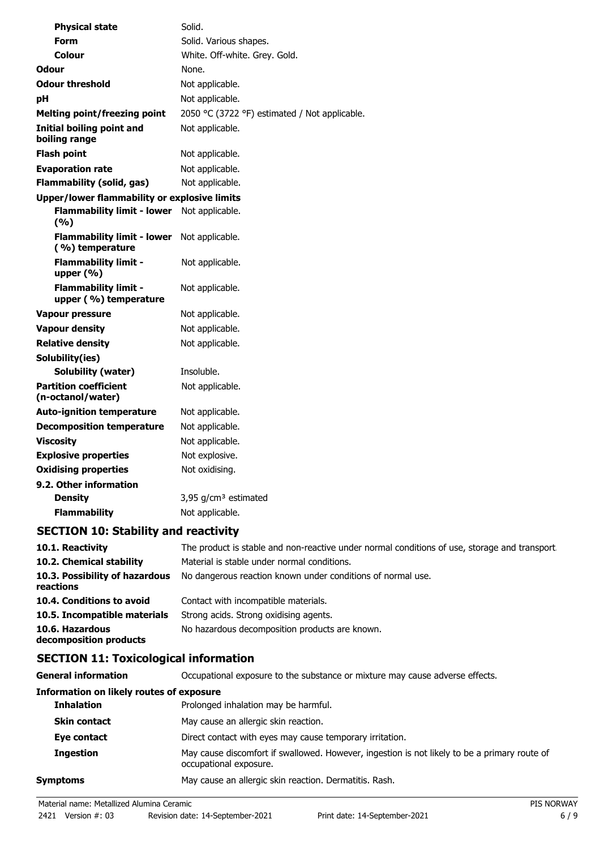| <b>Physical state</b>                                | Solid.                                        |
|------------------------------------------------------|-----------------------------------------------|
| Form                                                 | Solid. Various shapes.                        |
| Colour                                               | White. Off-white. Grey. Gold.                 |
| Odour                                                | None.                                         |
| <b>Odour threshold</b>                               | Not applicable.                               |
| pH                                                   | Not applicable.                               |
| <b>Melting point/freezing point</b>                  | 2050 °C (3722 °F) estimated / Not applicable. |
| <b>Initial boiling point and</b><br>boiling range    | Not applicable.                               |
| <b>Flash point</b>                                   | Not applicable.                               |
| <b>Evaporation rate</b>                              | Not applicable.                               |
| <b>Flammability (solid, gas)</b>                     | Not applicable.                               |
| Upper/lower flammability or explosive limits         |                                               |
| <b>Flammability limit - lower</b><br>(9/6)           | Not applicable.                               |
| <b>Flammability limit - lower</b><br>(%) temperature | Not applicable.                               |
| <b>Flammability limit -</b><br>upper $(% )$          | Not applicable.                               |
| <b>Flammability limit -</b><br>upper (%) temperature | Not applicable.                               |
| <b>Vapour pressure</b>                               | Not applicable.                               |
| <b>Vapour density</b>                                | Not applicable.                               |
| <b>Relative density</b>                              | Not applicable.                               |
| Solubility(ies)                                      |                                               |
| <b>Solubility (water)</b>                            | Insoluble.                                    |
| <b>Partition coefficient</b><br>(n-octanol/water)    | Not applicable.                               |
| <b>Auto-ignition temperature</b>                     | Not applicable.                               |
| <b>Decomposition temperature</b>                     | Not applicable.                               |
| <b>Viscosity</b>                                     | Not applicable.                               |
| <b>Explosive properties</b>                          | Not explosive.                                |
| <b>Oxidising properties</b>                          | Not oxidising.                                |
| 9.2. Other information                               |                                               |
| <b>Density</b>                                       | 3,95 g/cm <sup>3</sup> estimated              |
| <b>Flammability</b>                                  | Not applicable.                               |

# **SECTION 10: Stability and reactivity**

| 10.1. Reactivity                            | The product is stable and non-reactive under normal conditions of use, storage and transport |
|---------------------------------------------|----------------------------------------------------------------------------------------------|
| 10.2. Chemical stability                    | Material is stable under normal conditions.                                                  |
| 10.3. Possibility of hazardous<br>reactions | No dangerous reaction known under conditions of normal use.                                  |
| 10.4. Conditions to avoid                   | Contact with incompatible materials.                                                         |
| 10.5. Incompatible materials                | Strong acids. Strong oxidising agents.                                                       |
| 10.6. Hazardous<br>decomposition products   | No hazardous decomposition products are known.                                               |

# **SECTION 11: Toxicological information**

| <b>General information</b>                      | Occupational exposure to the substance or mixture may cause adverse effects.                                           |
|-------------------------------------------------|------------------------------------------------------------------------------------------------------------------------|
| <b>Information on likely routes of exposure</b> |                                                                                                                        |
| <b>Inhalation</b>                               | Prolonged inhalation may be harmful.                                                                                   |
| <b>Skin contact</b>                             | May cause an allergic skin reaction.                                                                                   |
| Eye contact                                     | Direct contact with eyes may cause temporary irritation.                                                               |
| <b>Ingestion</b>                                | May cause discomfort if swallowed. However, ingestion is not likely to be a primary route of<br>occupational exposure. |
| Symptoms                                        | May cause an allergic skin reaction. Dermatitis. Rash.                                                                 |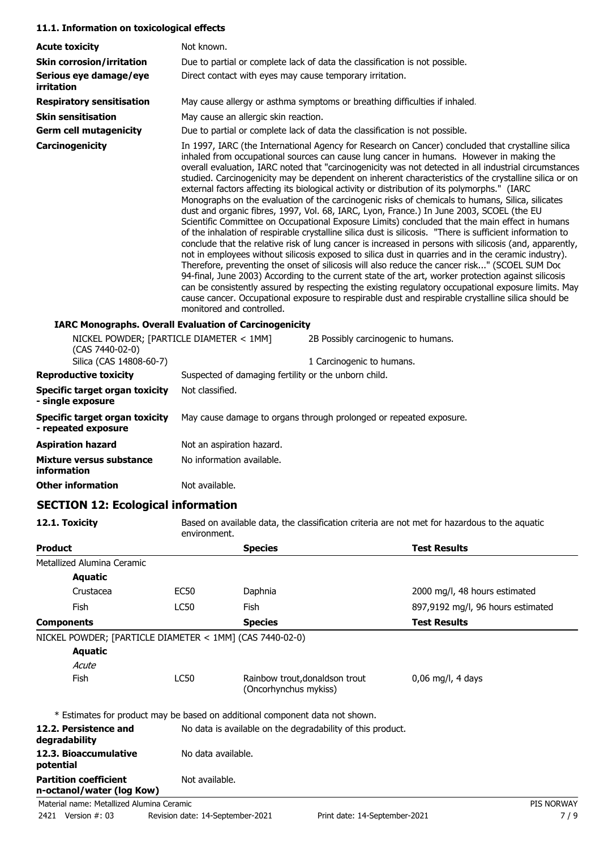#### **11.1. Information on toxicological effects**

| <b>Acute toxicity</b>                                                                  | Not known.                                                                                                                                                                                                                                                                                                                                                                                                                                                                                                                                                                                                                                                                                                                                                                                                                                                                                                                                                                                                                                                                                                                                                                                                                                                                                                                                                                                                                                                                                                                                                                                         |  |
|----------------------------------------------------------------------------------------|----------------------------------------------------------------------------------------------------------------------------------------------------------------------------------------------------------------------------------------------------------------------------------------------------------------------------------------------------------------------------------------------------------------------------------------------------------------------------------------------------------------------------------------------------------------------------------------------------------------------------------------------------------------------------------------------------------------------------------------------------------------------------------------------------------------------------------------------------------------------------------------------------------------------------------------------------------------------------------------------------------------------------------------------------------------------------------------------------------------------------------------------------------------------------------------------------------------------------------------------------------------------------------------------------------------------------------------------------------------------------------------------------------------------------------------------------------------------------------------------------------------------------------------------------------------------------------------------------|--|
| <b>Skin corrosion/irritation</b>                                                       | Due to partial or complete lack of data the classification is not possible.                                                                                                                                                                                                                                                                                                                                                                                                                                                                                                                                                                                                                                                                                                                                                                                                                                                                                                                                                                                                                                                                                                                                                                                                                                                                                                                                                                                                                                                                                                                        |  |
| Serious eye damage/eye<br><i>irritation</i>                                            | Direct contact with eyes may cause temporary irritation.                                                                                                                                                                                                                                                                                                                                                                                                                                                                                                                                                                                                                                                                                                                                                                                                                                                                                                                                                                                                                                                                                                                                                                                                                                                                                                                                                                                                                                                                                                                                           |  |
| <b>Respiratory sensitisation</b>                                                       | May cause allergy or asthma symptoms or breathing difficulties if inhaled.                                                                                                                                                                                                                                                                                                                                                                                                                                                                                                                                                                                                                                                                                                                                                                                                                                                                                                                                                                                                                                                                                                                                                                                                                                                                                                                                                                                                                                                                                                                         |  |
| <b>Skin sensitisation</b>                                                              | May cause an allergic skin reaction.                                                                                                                                                                                                                                                                                                                                                                                                                                                                                                                                                                                                                                                                                                                                                                                                                                                                                                                                                                                                                                                                                                                                                                                                                                                                                                                                                                                                                                                                                                                                                               |  |
| <b>Germ cell mutagenicity</b>                                                          | Due to partial or complete lack of data the classification is not possible.                                                                                                                                                                                                                                                                                                                                                                                                                                                                                                                                                                                                                                                                                                                                                                                                                                                                                                                                                                                                                                                                                                                                                                                                                                                                                                                                                                                                                                                                                                                        |  |
| Carcinogenicity                                                                        | In 1997, IARC (the International Agency for Research on Cancer) concluded that crystalline silica<br>inhaled from occupational sources can cause lung cancer in humans. However in making the<br>overall evaluation, IARC noted that "carcinogenicity was not detected in all industrial circumstances<br>studied. Carcinogenicity may be dependent on inherent characteristics of the crystalline silica or on<br>external factors affecting its biological activity or distribution of its polymorphs." (IARC<br>Monographs on the evaluation of the carcinogenic risks of chemicals to humans, Silica, silicates<br>dust and organic fibres, 1997, Vol. 68, IARC, Lyon, France.) In June 2003, SCOEL (the EU<br>Scientific Committee on Occupational Exposure Limits) concluded that the main effect in humans<br>of the inhalation of respirable crystalline silica dust is silicosis. "There is sufficient information to<br>conclude that the relative risk of lung cancer is increased in persons with silicosis (and, apparently,<br>not in employees without silicosis exposed to silica dust in quarries and in the ceramic industry).<br>Therefore, preventing the onset of silicosis will also reduce the cancer risk" (SCOEL SUM Doc<br>94-final, June 2003) According to the current state of the art, worker protection against silicosis<br>can be consistently assured by respecting the existing regulatory occupational exposure limits. May<br>cause cancer. Occupational exposure to respirable dust and respirable crystalline silica should be<br>monitored and controlled. |  |
|                                                                                        | <b>IARC Monographs. Overall Evaluation of Carcinogenicity</b>                                                                                                                                                                                                                                                                                                                                                                                                                                                                                                                                                                                                                                                                                                                                                                                                                                                                                                                                                                                                                                                                                                                                                                                                                                                                                                                                                                                                                                                                                                                                      |  |
| NICKEL POWDER; [PARTICLE DIAMETER < 1MM]<br>(CAS 7440-02-0)<br>Silica (CAS 14808-60-7) | 2B Possibly carcinogenic to humans.<br>1 Carcinogenic to humans.                                                                                                                                                                                                                                                                                                                                                                                                                                                                                                                                                                                                                                                                                                                                                                                                                                                                                                                                                                                                                                                                                                                                                                                                                                                                                                                                                                                                                                                                                                                                   |  |
| <b>Reproductive toxicity</b>                                                           | Suspected of damaging fertility or the unborn child.                                                                                                                                                                                                                                                                                                                                                                                                                                                                                                                                                                                                                                                                                                                                                                                                                                                                                                                                                                                                                                                                                                                                                                                                                                                                                                                                                                                                                                                                                                                                               |  |
| Specific target organ toxicity<br>- single exposure                                    | Not classified.                                                                                                                                                                                                                                                                                                                                                                                                                                                                                                                                                                                                                                                                                                                                                                                                                                                                                                                                                                                                                                                                                                                                                                                                                                                                                                                                                                                                                                                                                                                                                                                    |  |
| Specific target organ toxicity<br>- repeated exposure                                  | May cause damage to organs through prolonged or repeated exposure.                                                                                                                                                                                                                                                                                                                                                                                                                                                                                                                                                                                                                                                                                                                                                                                                                                                                                                                                                                                                                                                                                                                                                                                                                                                                                                                                                                                                                                                                                                                                 |  |
|                                                                                        |                                                                                                                                                                                                                                                                                                                                                                                                                                                                                                                                                                                                                                                                                                                                                                                                                                                                                                                                                                                                                                                                                                                                                                                                                                                                                                                                                                                                                                                                                                                                                                                                    |  |

| <b>Aspiration hazard</b> | Not an aspiration hazard. |
|--------------------------|---------------------------|
| Mixture versus substance | No information available. |
| information              |                           |
| <b>Other information</b> | Not available.            |

# **SECTION 12: Ecological information**

**12.1. Toxicity** Based on available data, the classification criteria are not met for hazardous to the aquatic environment.

| <b>Product</b>                                            |                    | <b>Species</b>                                                               | <b>Test Results</b>               |
|-----------------------------------------------------------|--------------------|------------------------------------------------------------------------------|-----------------------------------|
| Metallized Alumina Ceramic                                |                    |                                                                              |                                   |
| <b>Aquatic</b>                                            |                    |                                                                              |                                   |
| Crustacea                                                 | EC50               | Daphnia                                                                      | 2000 mg/l, 48 hours estimated     |
| <b>Fish</b>                                               | <b>LC50</b>        | Fish                                                                         | 897,9192 mg/l, 96 hours estimated |
| <b>Components</b>                                         |                    | <b>Species</b>                                                               | <b>Test Results</b>               |
| NICKEL POWDER; [PARTICLE DIAMETER < 1MM] (CAS 7440-02-0)  |                    |                                                                              |                                   |
| <b>Aquatic</b>                                            |                    |                                                                              |                                   |
| Acute                                                     |                    |                                                                              |                                   |
| <b>Fish</b>                                               | <b>LC50</b>        | Rainbow trout, donaldson trout<br>(Oncorhynchus mykiss)                      | $0,06$ mg/l, 4 days               |
|                                                           |                    | * Estimates for product may be based on additional component data not shown. |                                   |
| 12.2. Persistence and<br>degradability                    |                    | No data is available on the degradability of this product.                   |                                   |
| 12.3. Bioaccumulative<br>potential                        | No data available. |                                                                              |                                   |
| <b>Partition coefficient</b><br>n-octanol/water (log Kow) | Not available.     |                                                                              |                                   |
| Material name: Metallized Alumina Ceramic                 |                    |                                                                              | <b>PIS NORWAY</b>                 |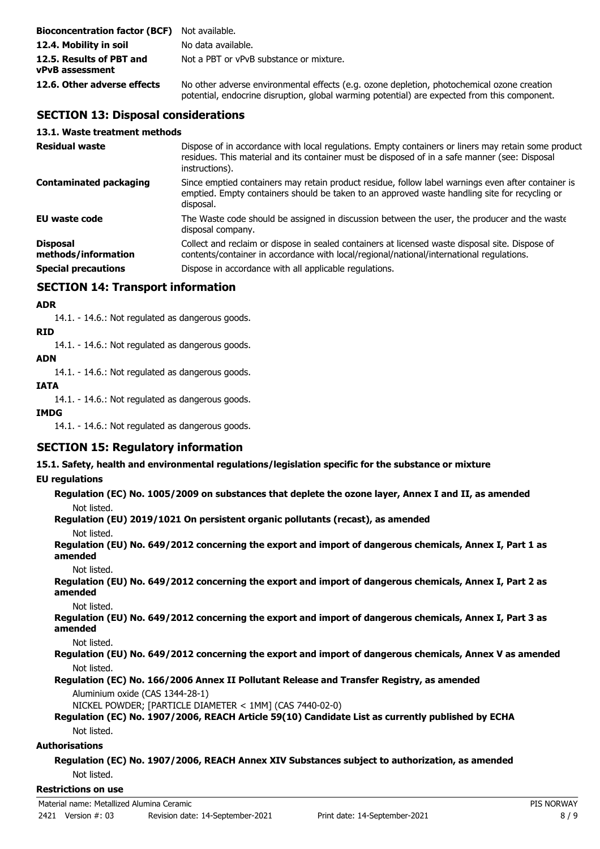| <b>Bioconcentration factor (BCF)</b> Not available. |                                                                                                                                                                                            |
|-----------------------------------------------------|--------------------------------------------------------------------------------------------------------------------------------------------------------------------------------------------|
| 12.4. Mobility in soil                              | No data available.                                                                                                                                                                         |
| 12.5. Results of PBT and<br>vPvB assessment         | Not a PBT or vPvB substance or mixture.                                                                                                                                                    |
| 12.6. Other adverse effects                         | No other adverse environmental effects (e.g. ozone depletion, photochemical ozone creation<br>potential, endocrine disruption, global warming potential) are expected from this component. |

# **SECTION 13: Disposal considerations**

#### **13.1. Waste treatment methods**

| <b>Residual waste</b>                  | Dispose of in accordance with local regulations. Empty containers or liners may retain some product<br>residues. This material and its container must be disposed of in a safe manner (see: Disposal<br>instructions). |
|----------------------------------------|------------------------------------------------------------------------------------------------------------------------------------------------------------------------------------------------------------------------|
| <b>Contaminated packaging</b>          | Since emptied containers may retain product residue, follow label warnings even after container is<br>emptied. Empty containers should be taken to an approved waste handling site for recycling or<br>disposal.       |
| EU waste code                          | The Waste code should be assigned in discussion between the user, the producer and the waste<br>disposal company.                                                                                                      |
| <b>Disposal</b><br>methods/information | Collect and reclaim or dispose in sealed containers at licensed waste disposal site. Dispose of<br>contents/container in accordance with local/regional/national/international regulations.                            |
| <b>Special precautions</b>             | Dispose in accordance with all applicable regulations.                                                                                                                                                                 |

# **SECTION 14: Transport information**

#### **ADR**

14.1. - 14.6.: Not regulated as dangerous goods.

**RID**

14.1. - 14.6.: Not regulated as dangerous goods.

#### **ADN**

14.1. - 14.6.: Not regulated as dangerous goods.

# **IATA**

14.1. - 14.6.: Not regulated as dangerous goods.

#### **IMDG**

14.1. - 14.6.: Not regulated as dangerous goods.

# **SECTION 15: Regulatory information**

**15.1. Safety, health and environmental regulations/legislation specific for the substance or mixture**

### **EU regulations**

**Regulation (EC) No. 1005/2009 on substances that deplete the ozone layer, Annex I and II, as amended** Not listed.

**Regulation (EU) 2019/1021 On persistent organic pollutants (recast), as amended**

Not listed.

**Regulation (EU) No. 649/2012 concerning the export and import of dangerous chemicals, Annex I, Part 1 as amended**

Not listed.

**Regulation (EU) No. 649/2012 concerning the export and import of dangerous chemicals, Annex I, Part 2 as amended**

Not listed.

**Regulation (EU) No. 649/2012 concerning the export and import of dangerous chemicals, Annex I, Part 3 as amended**

Not listed.

**Regulation (EU) No. 649/2012 concerning the export and import of dangerous chemicals, Annex V as amended** Not listed.

**Regulation (EC) No. 166/2006 Annex II Pollutant Release and Transfer Registry, as amended**

Aluminium oxide (CAS 1344-28-1)

NICKEL POWDER; [PARTICLE DIAMETER < 1MM] (CAS 7440-02-0)

#### **Regulation (EC) No. 1907/2006, REACH Article 59(10) Candidate List as currently published by ECHA** Not listed.

### **Authorisations**

**Regulation (EC) No. 1907/2006, REACH Annex XIV Substances subject to authorization, as amended** Not listed.

#### **Restrictions on use**